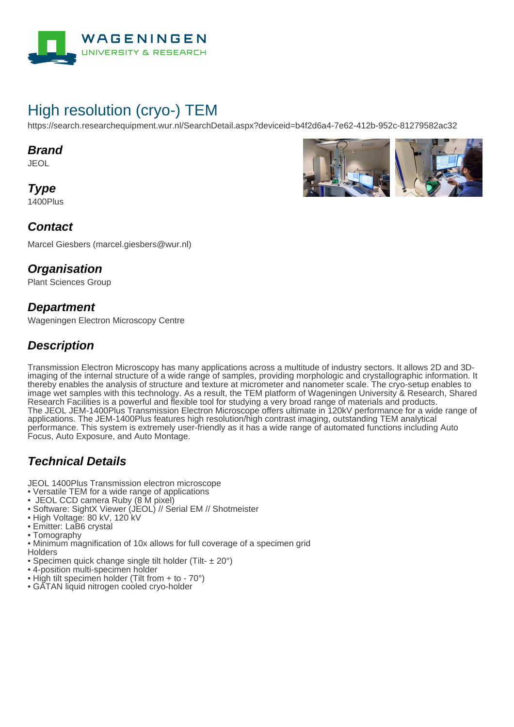

# High resolution (cryo-) TEM

https://search.researchequipment.wur.nl/SearchDetail.aspx?deviceid=b4f2d6a4-7e62-412b-952c-81279582ac32

#### **Brand**

JEOL

**Type** 1400Plus



#### **Contact**

Marcel Giesbers (marcel.giesbers@wur.nl)

#### **Organisation**

Plant Sciences Group

#### **Department**

Wageningen Electron Microscopy Centre

#### **Description**

Transmission Electron Microscopy has many applications across a multitude of industry sectors. It allows 2D and 3Dimaging of the internal structure of a wide range of samples, providing morphologic and crystallographic information. It thereby enables the analysis of structure and texture at micrometer and nanometer scale. The cryo-setup enables to image wet samples with this technology. As a result, the TEM platform of Wageningen University & Research, Shared Research Facilities is a powerful and flexible tool for studying a very broad range of materials and products. The JEOL JEM-1400Plus Transmission Electron Microscope offers ultimate in 120kV performance for a wide range of applications. The JEM-1400Plus features high resolution/high contrast imaging, outstanding TEM analytical performance. This system is extremely user-friendly as it has a wide range of automated functions including Auto Focus, Auto Exposure, and Auto Montage.

### **Technical Details**

JEOL 1400Plus Transmission electron microscope

- Versatile TEM for a wide range of applications
- JEOL CCD camera Ruby (8 M pixel)
- Software: SightX Viewer (JEOL) // Serial EM // Shotmeister
- High Voltage: 80 kV, 120 kV
- Emitter: LaB6 crystal
- Tomography
- Minimum magnification of 10x allows for full coverage of a specimen grid
- Holders
- Specimen quick change single tilt holder (Tilt- ± 20°)
- 4-position multi-specimen holder
- High tilt specimen holder (Tilt from + to 70°)
- GATAN liquid nitrogen cooled cryo-holder